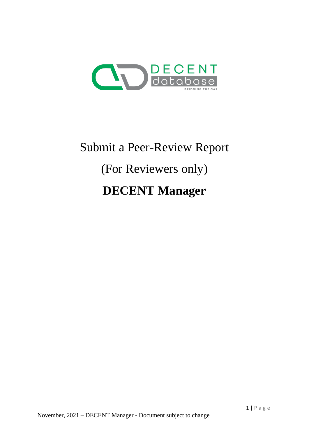

# Submit a Peer-Review Report (For Reviewers only) **DECENT Manager**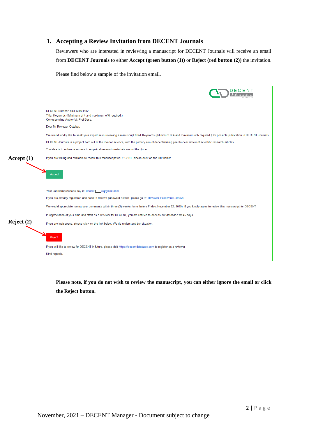## **1. Accepting a Review Invitation from DECENT Journals**

Reviewers who are interested in reviewing a manuscript for DECENT Journals will receive an email from **DECENT Journals** to either **Accept (green button (1))** or **Reject (red button (2))** the invitation.

Please find below a sample of the invitation email.

|              | DECENT Number: SCECHM1502<br>Title: Keywords ((Minimum of 4 and maximum of 6 required.)<br>Corresponding Author(s): Prof Boss,                                                  |
|--------------|---------------------------------------------------------------------------------------------------------------------------------------------------------------------------------|
|              | Dear Mr Reviewer October.                                                                                                                                                       |
|              | We would kindly like to seek your expertise in reviewing a manuscript titled 'Keywords ((Minimum of 4 and maximum of 6 required.)' for possible publication in DECENT Journals. |
|              | DECENT Journals is a project born out of the love for science, with the primary aim of decentralizing peer-to-peer review of scientific research articles.                      |
|              | The idea is to enhance access to empirical research materials around the globe.                                                                                                 |
| Accept $(1)$ | If you are willing and available to review this manuscript for DECENT, please click on the link below:                                                                          |
|              | Accept                                                                                                                                                                          |
|              | Your username/Access key is: decents s@gmail.com                                                                                                                                |
|              | If you are already registered and need to retrieve password details, please go to: Reviewer Password Retrieval                                                                  |
|              | We would appreciate having your comments within three (3) weeks (on or before Friday, November 22, 2019), if you kindly agree to review this manuscript for DECENT.             |
|              | In appreciation of your time and effort as a reviewer for DECENT, you are entitled to access our database for 45 days.                                                          |
| Reject $(2)$ | If you are indisposed, please click on the link below. We do understand the situation.                                                                                          |
|              | Reject                                                                                                                                                                          |
|              | If you will like to review for DECENT in future, please visit https://decentdatabase.com to register as a reviewer                                                              |
|              | Kind regards,                                                                                                                                                                   |

**Please note, if you do not wish to review the manuscript, you can either ignore the email or click the Reject button.**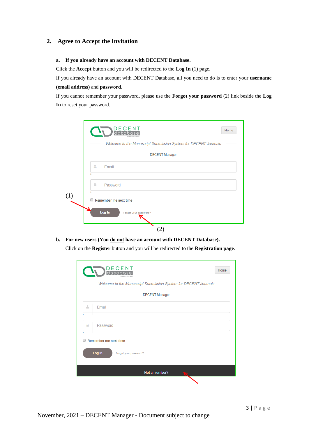## **2. Agree to Accept the Invitation**

### **a. If you already have an account with DECENT Database.**

Click the **Accept** button and you will be redirected to the **Log In** (1) page.

If you already have an account with DECENT Database, all you need to do is to enter your **username (email address)** and **password**.

If you cannot remember your password, please use the **Forgot your password** (2) link beside the **Log In** to reset your password.

**b. For new users (You do not have an account with DECENT Database).**

Click on the **Register** button and you will be redirected to the **Registration page**.

| ECENT<br>data                                                   | Home |
|-----------------------------------------------------------------|------|
| Welcome to the Manuscript Submission System for DECENT Journals |      |
| <b>DECENT Manager</b>                                           |      |
| Δ<br>Email<br>٠                                                 |      |
| ₽<br>Password<br>÷                                              |      |
| Remember me next time<br>∩                                      |      |
| Log In<br>Forgot your password?                                 |      |
| Not a member?                                                   |      |
|                                                                 |      |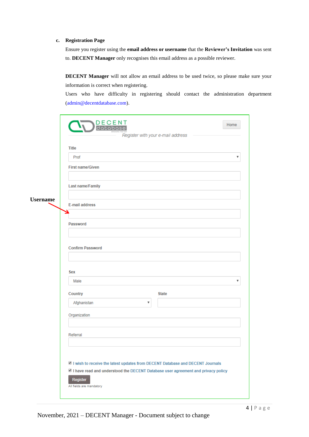#### **c. Registration Page**

Ensure you register using the **email address or username** that the **Reviewer's Invitation** was sent to. **DECENT Manager** only recognises this email address as a possible reviewer.

**DECENT Manager** will not allow an email address to be used twice, so please make sure your information is correct when registering.

Users who have difficulty in registering should contact the administration department (admin@decentdatabase.com).

|                 | D <b>DECENT</b><br>Register with your e-mail address                                                                                                                                                        | Home                      |
|-----------------|-------------------------------------------------------------------------------------------------------------------------------------------------------------------------------------------------------------|---------------------------|
|                 | <b>Title</b>                                                                                                                                                                                                |                           |
|                 | Prof                                                                                                                                                                                                        | $\boldsymbol{\mathrm{v}}$ |
|                 | <b>First name/Given</b>                                                                                                                                                                                     |                           |
|                 | Last name/Family                                                                                                                                                                                            |                           |
| <b>Username</b> | <b>E-mail address</b>                                                                                                                                                                                       |                           |
|                 | Password                                                                                                                                                                                                    |                           |
|                 | <b>Confirm Password</b>                                                                                                                                                                                     |                           |
|                 | <b>Sex</b>                                                                                                                                                                                                  |                           |
|                 | Male                                                                                                                                                                                                        | v                         |
|                 | Country<br><b>State</b>                                                                                                                                                                                     |                           |
|                 | Afghanistan<br>v                                                                                                                                                                                            |                           |
|                 | Organization                                                                                                                                                                                                |                           |
|                 | Referral                                                                                                                                                                                                    |                           |
|                 | 2 I wish to receive the latest updates from DECENT Database and DECENT Journals<br>I have read and understood the DECENT Database user agreement and privacy policy<br>Register<br>All fields are mandatory |                           |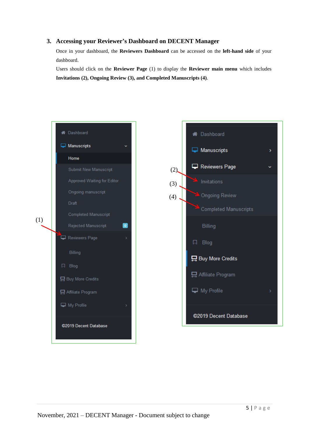## **3. Accessing your Reviewer's Dashboard on DECENT Manager**

Once in your dashboard, the **Reviewers Dashboard** can be accessed on the **left-hand side** of your dashboard.

Users should click on the **Reviewer Page** (1) to display the **Reviewer main menu** which includes **Invitations (2), Ongoing Review (3), and Completed Manuscripts (4)**.

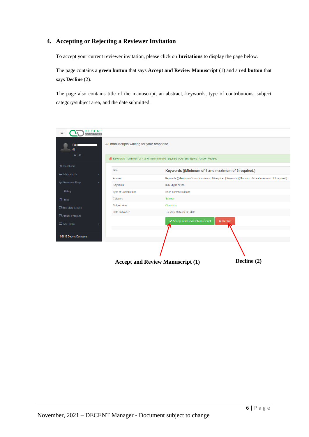## **4. Accepting or Rejecting a Reviewer Invitation**

To accept your current reviewer invitation, please click on **Invitations** to display the page below.

The page contains a **green button** that says **Accept and Review Manuscript** (1) and a **red button** that says **Decline** (2).

The page also contains title of the manuscript, an abstract, keywords, type of contributions, subject category/subject area, and the date submitted.

| DECENT<br>∢≡<br>database   |                                           |                                                                                                         |
|----------------------------|-------------------------------------------|---------------------------------------------------------------------------------------------------------|
| Prof<br>@                  | All manuscripts waiting for your response |                                                                                                         |
| 2e                         |                                           |                                                                                                         |
|                            |                                           | E Keywords ((Minimum of 4 and maximum of 6 required.) Current Status: (Under Review)                    |
| <b>N</b> Dashboard         |                                           |                                                                                                         |
| Manuscripts                | Title                                     | Keywords ((Minimum of 4 and maximum of 6 required.)                                                     |
|                            | Abstract                                  | Keywords ((Minimum of 4 and maximum of 6 required.) Keywords ((Minimum of 4 and maximum of 6 required.) |
| Reviewers Page             | Keywords                                  | max utype hi yes                                                                                        |
| Billing                    | <b>Type of Contributions</b>              | Short communications                                                                                    |
| $\Box$ Blog                | Category                                  | Science                                                                                                 |
| <b>日</b> Buy More Credits  | Subject Area                              | Chemistry                                                                                               |
| <b>吕</b> Affiliate Program | Date Submitted                            | Tuesday, October 22, 2019                                                                               |
|                            |                                           | ← Accept and Review Manuscript<br><b>自</b> Decline                                                      |
| My Profile                 |                                           |                                                                                                         |
|                            |                                           |                                                                                                         |
| ©2019 Decent Database      |                                           |                                                                                                         |
|                            |                                           |                                                                                                         |
|                            |                                           |                                                                                                         |
|                            |                                           |                                                                                                         |
|                            |                                           | Decline (2)<br><b>Accept and Review Manuscript (1)</b>                                                  |
|                            |                                           |                                                                                                         |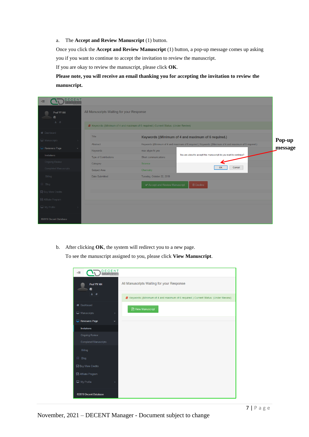a. The **Accept and Review Manuscript** (1) button.

Once you click the **Accept and Review Manuscript** (1) button, a pop-up message comes up asking you if you want to continue to accept the invitation to review the manuscript.

If you are okay to review the manuscript, please click **OK**.

**Please note, you will receive an email thanking you for accepting the invitation to review the manuscript.**

| <b>DECENT</b><br>«≡<br><b>latabase</b> |                                           |                                                                                      |                                                                                                                   |  |
|----------------------------------------|-------------------------------------------|--------------------------------------------------------------------------------------|-------------------------------------------------------------------------------------------------------------------|--|
| Prof YY HH<br>$\circleda$              | All Manuscripts Waiting for your Response |                                                                                      |                                                                                                                   |  |
| $B \quad B$                            |                                           | F Keywords ((Minimum of 4 and maximum of 6 required.) Current Status: (Under Review) |                                                                                                                   |  |
| <b>N</b> Dashboard<br>Manuscripts      | Title                                     |                                                                                      | Keywords ((Minimum of 4 and maximum of 6 required.)                                                               |  |
|                                        | Abstract                                  |                                                                                      | Pop-up<br>Keywords ((Minimum of 4 and maximum of 6 required.) Keywords ((Minimum of 4 and maximum of 6 required.) |  |
| Reviewers Page                         | Keywords                                  | max utype hi yes                                                                     | message<br>You are about to accept this manuscript do you want to continue?                                       |  |
| Invitations                            | <b>Type of Contributions</b>              | Short communications                                                                 |                                                                                                                   |  |
| <b>Ongoing Review</b>                  | Category                                  | Science                                                                              |                                                                                                                   |  |
| Completed Manuscripts                  | Subject Area                              | Chemistry                                                                            | Cancel<br>OK                                                                                                      |  |
| Billing                                | Date Submitted                            | Tuesday, October 22, 2019                                                            |                                                                                                                   |  |
| 同 Blog                                 |                                           | ✔ Accept and Review Manuscript                                                       | <b>自Decline</b>                                                                                                   |  |
| <b>吕</b> Buy More Credits              |                                           |                                                                                      |                                                                                                                   |  |
| <b>吕</b> Affiliate Program             |                                           |                                                                                      |                                                                                                                   |  |
| My Profile                             |                                           |                                                                                      |                                                                                                                   |  |
| @2019 Decent Database                  |                                           |                                                                                      |                                                                                                                   |  |

b. After clicking **OK**, the system will redirect you to a new page.

To see the manuscript assigned to you, please click **View Manuscript**.

| <b>DECENT</b><br>database<br>€                |                                                                                      |
|-----------------------------------------------|--------------------------------------------------------------------------------------|
| Prof YY HH<br>$\circledcirc$                  | All Manuscripts Waiting for your Response                                            |
| $B \mid B$                                    | E Keywords ((Minimum of 4 and maximum of 6 required.) Current Status: (Under Review) |
| <b>&amp;</b> Dashboard<br>Manuscripts<br>$\,$ | <b>A</b> View Manuscript                                                             |
| Reviewers Page<br>$\checkmark$                |                                                                                      |
| <b>Invitations</b>                            |                                                                                      |
| <b>Ongoing Review</b>                         |                                                                                      |
| <b>Completed Manuscripts</b>                  |                                                                                      |
| Billing                                       |                                                                                      |
| 口 Blog                                        |                                                                                      |
| <b>日</b> Buy More Credits                     |                                                                                      |
| 日 Affiliate Program                           |                                                                                      |
| My Profile<br>$\bar{\rm{}}$                   |                                                                                      |
| @2019 Decent Database                         |                                                                                      |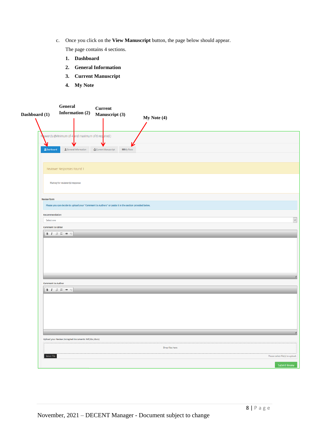c. Once you click on the **View Manuscript** button, the page below should appear.

The page contains 4 sections.

- **1. Dashboard**
- **2. General Information**
- **3. Current Manuscript**
- **4. My Note**

|                          | General                                                                                                                                                                                                   | <b>Current</b>                                                                                       |                                  |
|--------------------------|-----------------------------------------------------------------------------------------------------------------------------------------------------------------------------------------------------------|------------------------------------------------------------------------------------------------------|----------------------------------|
| Dashboard (1)            | Information (2)                                                                                                                                                                                           | Manuscript (3)                                                                                       |                                  |
|                          |                                                                                                                                                                                                           |                                                                                                      | My Note (4)                      |
|                          |                                                                                                                                                                                                           |                                                                                                      |                                  |
|                          |                                                                                                                                                                                                           |                                                                                                      |                                  |
|                          | words ((Minimum of 4 <mark>and maximum of 6 req</mark> uired.)                                                                                                                                            |                                                                                                      |                                  |
| M                        |                                                                                                                                                                                                           |                                                                                                      |                                  |
| <b>L</b> Dashboard       | & General Information                                                                                                                                                                                     | <b>KEMy Note</b><br><b>Current Manuscript</b>                                                        |                                  |
|                          |                                                                                                                                                                                                           |                                                                                                      |                                  |
|                          |                                                                                                                                                                                                           |                                                                                                      |                                  |
|                          | Reviewer Responses Round 1                                                                                                                                                                                |                                                                                                      |                                  |
|                          |                                                                                                                                                                                                           |                                                                                                      |                                  |
|                          |                                                                                                                                                                                                           |                                                                                                      |                                  |
|                          | Waiting for reviewer(s) response                                                                                                                                                                          |                                                                                                      |                                  |
|                          |                                                                                                                                                                                                           |                                                                                                      |                                  |
| <b>Review form</b>       |                                                                                                                                                                                                           |                                                                                                      |                                  |
|                          |                                                                                                                                                                                                           | Please you can decide to upload your "Comment to Authors" or paste it in the section provided below. |                                  |
|                          |                                                                                                                                                                                                           |                                                                                                      |                                  |
| Recommendation           |                                                                                                                                                                                                           |                                                                                                      |                                  |
| Select one               |                                                                                                                                                                                                           |                                                                                                      | $\overline{\mathbf{v}}$          |
| <b>Comment to Editor</b> |                                                                                                                                                                                                           |                                                                                                      |                                  |
|                          |                                                                                                                                                                                                           |                                                                                                      |                                  |
|                          |                                                                                                                                                                                                           |                                                                                                      |                                  |
|                          |                                                                                                                                                                                                           |                                                                                                      |                                  |
|                          |                                                                                                                                                                                                           |                                                                                                      |                                  |
|                          |                                                                                                                                                                                                           |                                                                                                      |                                  |
|                          |                                                                                                                                                                                                           |                                                                                                      |                                  |
|                          |                                                                                                                                                                                                           |                                                                                                      |                                  |
|                          |                                                                                                                                                                                                           |                                                                                                      |                                  |
| <b>Comment to Author</b> |                                                                                                                                                                                                           |                                                                                                      |                                  |
|                          | <b>B</b> $I \xrightarrow{\hspace{0.5cm} \mathbb{I} \hspace{0.1cm} \mathbb{I}} \mathbb{I} \xrightarrow{\hspace{0.5cm} \mathbb{I} \hspace{0.1cm} \mathbb{I}} \otimes \hspace{0.1cm} \otimes \hspace{0.1cm}$ |                                                                                                      |                                  |
|                          |                                                                                                                                                                                                           |                                                                                                      |                                  |
|                          |                                                                                                                                                                                                           |                                                                                                      |                                  |
|                          |                                                                                                                                                                                                           |                                                                                                      |                                  |
|                          |                                                                                                                                                                                                           |                                                                                                      |                                  |
|                          |                                                                                                                                                                                                           |                                                                                                      |                                  |
|                          |                                                                                                                                                                                                           |                                                                                                      |                                  |
|                          |                                                                                                                                                                                                           |                                                                                                      |                                  |
|                          |                                                                                                                                                                                                           |                                                                                                      |                                  |
|                          | Upload your Review (Accepted documents: Pdf,doc,docx)                                                                                                                                                     |                                                                                                      |                                  |
|                          |                                                                                                                                                                                                           |                                                                                                      | Drop files here                  |
|                          |                                                                                                                                                                                                           |                                                                                                      |                                  |
| Select File              |                                                                                                                                                                                                           |                                                                                                      | Please select file(s) to upload. |
|                          |                                                                                                                                                                                                           |                                                                                                      | <b>Submit Review</b>             |
|                          |                                                                                                                                                                                                           |                                                                                                      |                                  |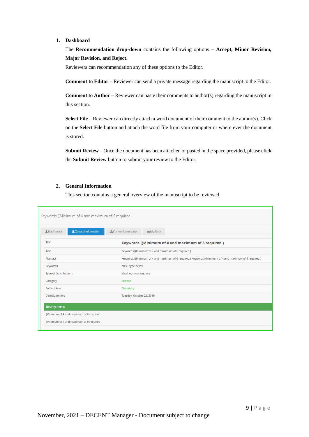#### **1. Dashboard**

The **Recommendation drop-down** contains the following options – **Accept, Minor Revision, Major Revision, and Reject**.

Reviewers can recommendation any of these options to the Editor.

**Comment to Editor** – Reviewer can send a private message regarding the manuscript to the Editor.

**Comment to Author** – Reviewer can paste their comments to author(s) regarding the manuscript in this section.

**Select File** – Reviewer can directly attach a word document of their comment to the author(s). Click on the **Select File** button and attach the word file from your computer or where ever the document is stored.

**Submit Review** – Once the document has been attached or pasted in the space provided, please click the **Submit Review** button to submit your review to the Editor.

#### **2. General Information**

This section contains a general overview of the manuscript to be reviewed.

| Keywords ((Minimum of 4 and maximum of 6 required.) |                                                                                                         |
|-----------------------------------------------------|---------------------------------------------------------------------------------------------------------|
| <b>Q</b> General Information<br><b>Q</b> Dashboard  | <b>Current Manuscript</b><br><b>KOD</b> My Note                                                         |
| Title                                               | Keywords ((Minimum of 4 and maximum of 6 required.)                                                     |
| Title                                               | Keywords ((Minimum of 4 and maximum of 6 required.)                                                     |
| Abstract                                            | Keywords ((Minimum of 4 and maximum of 6 required.) Keywords ((Minimum of 4 and maximum of 6 required.) |
| Keywords                                            | max utype hi yes                                                                                        |
| <b>Type of Contributions</b>                        | <b>Short communications</b>                                                                             |
| Category                                            | Science                                                                                                 |
| Subject Area                                        | Chemistry                                                                                               |
| <b>Date Submitted</b>                               | Tuesday, October 22, 2019                                                                               |
| <b>Novelty Points</b>                               |                                                                                                         |
| (Minimum of 4 and maximum of 6 required             |                                                                                                         |
| (Minimum of 4 and maximum of 6 required             |                                                                                                         |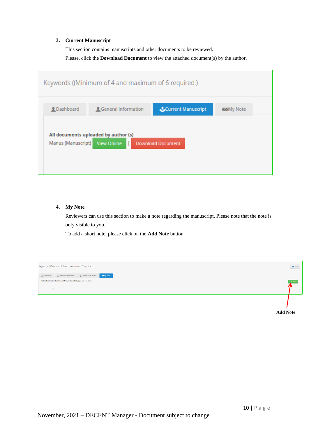#### **3. Current Manuscript**

This section contains manuscripts and other documents to be reviewed.

Please, click the **Download Document** to view the attached document(s) by the author.

|                                | Keywords ((Minimum of 4 and maximum of 6 required.) |                                |                 |
|--------------------------------|-----------------------------------------------------|--------------------------------|-----------------|
| <b>Q</b> Dashboard             | <b>L</b> General Information                        | <b>&amp;Current Manuscript</b> | <b>KON</b> Note |
| Manus (Manuscript) View Online | All documents uploaded by author (s)                | <b>Download Document</b>       |                 |

#### **4. My Note**

Reviewers can use this section to make a note regarding the manuscript. Please note that the note is only visible to you.

To add a short note, please click on the **Add Note** button.



**Add Note**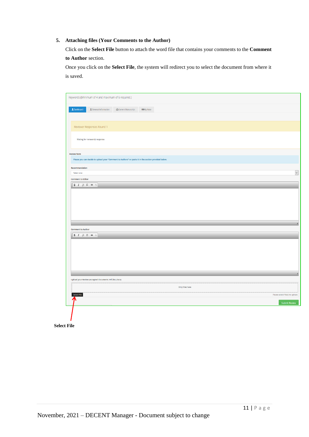### **5. Attaching files (Your Comments to the Author)**

Click on the **Select File** button to attach the word file that contains your comments to the **Comment to Author** section.

Once you click on the **Select File**, the system will redirect you to select the document from where it is saved.

|                                                                                                                                                  | Keywords ((Minimum of 4 and maximum of 6 required.)                                                  |                           |                   |                 |  |                                                          |
|--------------------------------------------------------------------------------------------------------------------------------------------------|------------------------------------------------------------------------------------------------------|---------------------------|-------------------|-----------------|--|----------------------------------------------------------|
|                                                                                                                                                  |                                                                                                      |                           |                   |                 |  |                                                          |
| LDashboard                                                                                                                                       | & General Information                                                                                | <b>Current Manuscript</b> | <b>KON</b> y Note |                 |  |                                                          |
|                                                                                                                                                  |                                                                                                      |                           |                   |                 |  |                                                          |
|                                                                                                                                                  |                                                                                                      |                           |                   |                 |  |                                                          |
|                                                                                                                                                  | Reviewer Responses Round 1                                                                           |                           |                   |                 |  |                                                          |
|                                                                                                                                                  |                                                                                                      |                           |                   |                 |  |                                                          |
|                                                                                                                                                  | Waiting for reviewer(s) response                                                                     |                           |                   |                 |  |                                                          |
|                                                                                                                                                  |                                                                                                      |                           |                   |                 |  |                                                          |
| <b>Review form</b>                                                                                                                               |                                                                                                      |                           |                   |                 |  |                                                          |
|                                                                                                                                                  | Please you can decide to upload your "Comment to Authors" or paste it in the section provided below. |                           |                   |                 |  |                                                          |
| Recommendation                                                                                                                                   |                                                                                                      |                           |                   |                 |  |                                                          |
| Select one                                                                                                                                       |                                                                                                      |                           |                   |                 |  |                                                          |
| <b>Comment to Editor</b>                                                                                                                         |                                                                                                      |                           |                   |                 |  |                                                          |
|                                                                                                                                                  |                                                                                                      |                           |                   |                 |  |                                                          |
| $\mathsf{B} \quad I \quad \mathop{\mathbb{H}} \quad \mathop{\mathbb{H}} \quad \mathop{\mathbb{H}} \quad \mathop{\otimes} \quad \mathop{\otimes}$ |                                                                                                      |                           |                   |                 |  |                                                          |
|                                                                                                                                                  |                                                                                                      |                           |                   |                 |  |                                                          |
|                                                                                                                                                  |                                                                                                      |                           |                   |                 |  |                                                          |
|                                                                                                                                                  |                                                                                                      |                           |                   |                 |  |                                                          |
|                                                                                                                                                  |                                                                                                      |                           |                   |                 |  |                                                          |
|                                                                                                                                                  |                                                                                                      |                           |                   |                 |  |                                                          |
|                                                                                                                                                  |                                                                                                      |                           |                   |                 |  |                                                          |
|                                                                                                                                                  |                                                                                                      |                           |                   |                 |  |                                                          |
|                                                                                                                                                  |                                                                                                      |                           |                   |                 |  |                                                          |
|                                                                                                                                                  |                                                                                                      |                           |                   |                 |  |                                                          |
|                                                                                                                                                  |                                                                                                      |                           |                   |                 |  |                                                          |
|                                                                                                                                                  | Upload your Review (Accepted documents: Pdf,doc,docx)                                                |                           |                   |                 |  |                                                          |
|                                                                                                                                                  |                                                                                                      |                           |                   | Drop files here |  |                                                          |
| <b>Comment to Author</b>                                                                                                                         |                                                                                                      |                           |                   |                 |  |                                                          |
| Select File                                                                                                                                      |                                                                                                      |                           |                   |                 |  | Please select file(s) to upload.<br><b>Submit Review</b> |

**Select File**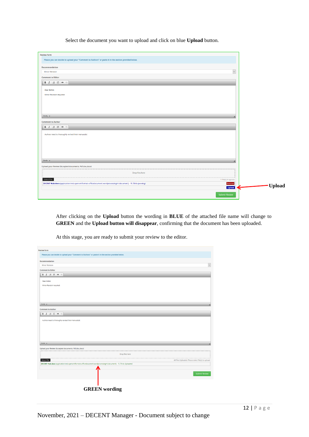Select the document you want to upload and click on blue **Upload** button.

| <b>Review form</b>                                                                                                       |  |
|--------------------------------------------------------------------------------------------------------------------------|--|
| Please you can decide to upload your "Comment to Authors" or paste it in the section provided below.                     |  |
| Recommendation                                                                                                           |  |
| $\backsim$<br><b>Minor Revision</b>                                                                                      |  |
|                                                                                                                          |  |
| <b>Comment to Editor</b>                                                                                                 |  |
| B $I \parallel \mathbb{R}$ : $\otimes$                                                                                   |  |
|                                                                                                                          |  |
| Dear Editor,                                                                                                             |  |
| Minor Revision required.                                                                                                 |  |
|                                                                                                                          |  |
|                                                                                                                          |  |
|                                                                                                                          |  |
| body p                                                                                                                   |  |
|                                                                                                                          |  |
| <b>Comment to Author</b>                                                                                                 |  |
| B $I \xrightarrow{\text{in}} \mathcal{I} \xrightarrow{\text{in}} \infty$                                                 |  |
| Authors need to thoroughly revised their manuscript.                                                                     |  |
|                                                                                                                          |  |
|                                                                                                                          |  |
|                                                                                                                          |  |
|                                                                                                                          |  |
|                                                                                                                          |  |
| body p<br>z                                                                                                              |  |
| Upload your Review (Accepted documents: Pdf,doc,docx)                                                                    |  |
|                                                                                                                          |  |
| Drop files here                                                                                                          |  |
| Select File<br>1 file(s) in queue.                                                                                       |  |
| DECENT Hub.docx (application/vnd.openxmlformats-officedocument.wordprocessingml.document) - 15.78 kb (pending)<br>Remove |  |
| <b>Upload</b>                                                                                                            |  |
|                                                                                                                          |  |
| <b>Submit Review</b>                                                                                                     |  |
|                                                                                                                          |  |

After clicking on the **Upload** button the wording in **BLUE** of the attached file name will change to **GREEN** and the **Upload button will disappear**, confirming that the document has been uploaded.

| <b>Review form</b>                                                                                              |                                                      |
|-----------------------------------------------------------------------------------------------------------------|------------------------------------------------------|
| Please you can decide to upload your "Comment to Authors" or paste it in the section provided below.            |                                                      |
| Recommendation                                                                                                  |                                                      |
| <b>Minor Revision</b>                                                                                           | $\checkmark$                                         |
| <b>Comment to Editor</b>                                                                                        |                                                      |
| <b>B</b> $I \equiv \equiv \equiv \infty$                                                                        |                                                      |
| Dear Editor,                                                                                                    |                                                      |
| Minor Revision required.                                                                                        |                                                      |
|                                                                                                                 |                                                      |
|                                                                                                                 |                                                      |
|                                                                                                                 |                                                      |
|                                                                                                                 |                                                      |
| body p                                                                                                          |                                                      |
| <b>Comment to Author</b>                                                                                        |                                                      |
| <b>B</b> $I \nightharpoonup I \nightharpoonup I$ $\Rightarrow$ $\Rightarrow$                                    |                                                      |
|                                                                                                                 |                                                      |
| Authors need to thoroughly revised their manuscript.                                                            |                                                      |
|                                                                                                                 |                                                      |
|                                                                                                                 |                                                      |
|                                                                                                                 |                                                      |
|                                                                                                                 |                                                      |
|                                                                                                                 |                                                      |
| body p                                                                                                          |                                                      |
| Upload your Review (Accepted documents: Pdf,doc,docx)                                                           |                                                      |
| Drop files here                                                                                                 |                                                      |
|                                                                                                                 |                                                      |
| Select File                                                                                                     | All Files Uploaded. Please select file(s) to upload. |
| DECENT Hub.docx (application/vnd.openxmlformats-officedocument.wordprocessingml.document) - 15.78 kb (Uploaded) |                                                      |
|                                                                                                                 |                                                      |
|                                                                                                                 | <b>Submit Review</b>                                 |
|                                                                                                                 |                                                      |
|                                                                                                                 |                                                      |
| <b>GREEN</b> wording                                                                                            |                                                      |
|                                                                                                                 |                                                      |

At this stage, you are ready to submit your review to the editor.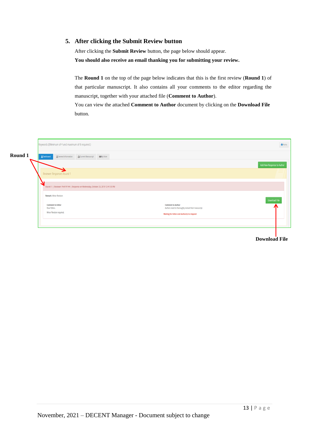## **5. After clicking the Submit Review button**

After clicking the **Submit Review** button, the page below should appear. **You should also receive an email thanking you for submitting your review.**

The **Round 1** on the top of the page below indicates that this is the first review (**Round 1**) of that particular manuscript. It also contains all your comments to the editor regarding the manuscript, together with your attached file (**Comment to Author**).

You can view the attached **Comment to Author** document by clicking on the **Download File** button.

|         | Keywords ((Minimum of 4 and maximum of 6 required.)                                                                                                                                                     | <b>A</b> Home              |
|---------|---------------------------------------------------------------------------------------------------------------------------------------------------------------------------------------------------------|----------------------------|
| Round 1 | <b>Q</b> Dashboard<br><b>ACurrent Manuscript REEMy Note</b><br><b>Q</b> General Information                                                                                                             |                            |
|         |                                                                                                                                                                                                         | Add New Response to Author |
|         | Reviewer Responses Round 1                                                                                                                                                                              |                            |
|         | Round 1:   Reviewer: Prof YY HH   Response on Wednesday, October 23, 2019 12:41:33 PM                                                                                                                   |                            |
|         | <b>Remark: Minor Revision</b>                                                                                                                                                                           | Download File              |
|         | <b>Comment to Author</b><br><b>Comment to Editor</b><br>Dear Editor.<br>Authors need to thoroughly revised their manuscript.<br>Minor Revision required.<br>Waiting for Editor and Author(s) to respond |                            |
|         |                                                                                                                                                                                                         |                            |
|         |                                                                                                                                                                                                         |                            |

# **Download File**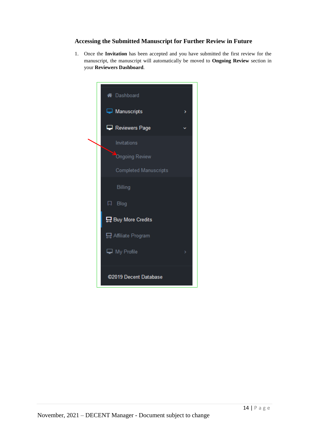## **Accessing the Submitted Manuscript for Further Review in Future**

1. Once the **Invitation** has been accepted and you have submitted the first review for the manuscript, the manuscript will automatically be moved to **Ongoing Review** section in your **Reviewers Dashboard**.

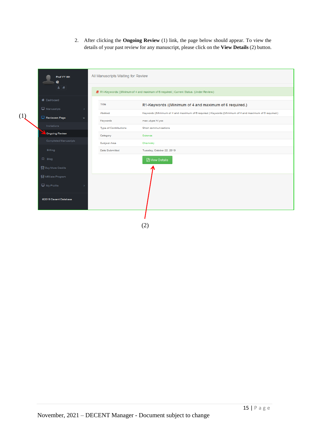2. After clicking the **Ongoing Review** (1) link, the page below should appear. To view the details of your past review for any manuscript, please click on the **View Details** (2) button.